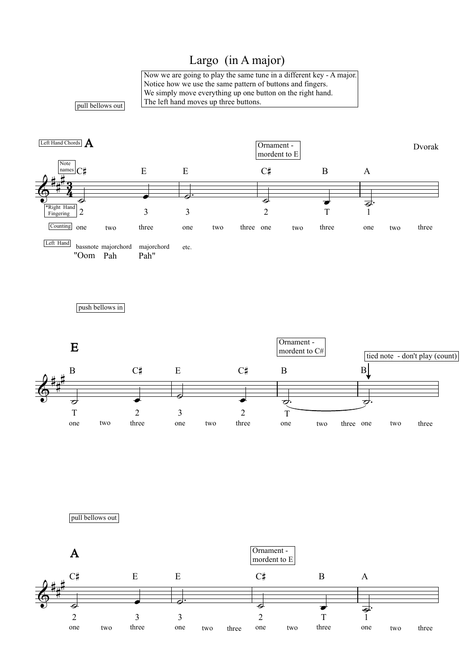## Largo (in A major)

Now we are going to play the same tune in a different key - A major. Notice how we use the same pattern of buttons and fingers. We simply move everything up one button on the right hand. The left hand moves up three buttons.

pull bellows out



push bellows in



pull bellows out